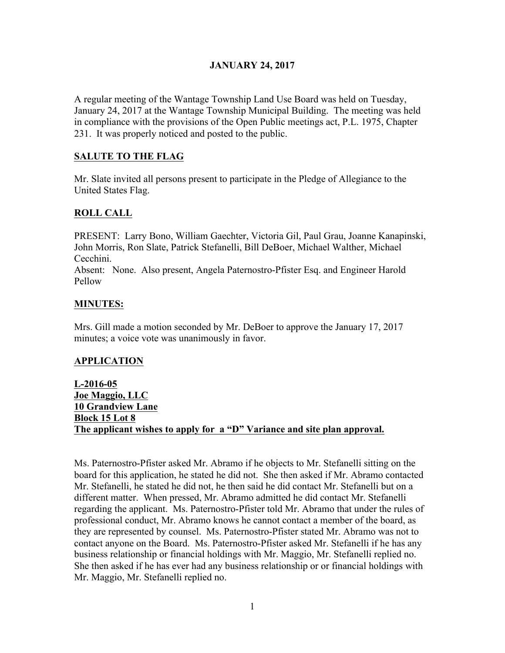# **JANUARY 24, 2017**

A regular meeting of the Wantage Township Land Use Board was held on Tuesday, January 24, 2017 at the Wantage Township Municipal Building. The meeting was held in compliance with the provisions of the Open Public meetings act, P.L. 1975, Chapter 231. It was properly noticed and posted to the public.

# **SALUTE TO THE FLAG**

Mr. Slate invited all persons present to participate in the Pledge of Allegiance to the United States Flag.

### **ROLL CALL**

PRESENT: Larry Bono, William Gaechter, Victoria Gil, Paul Grau, Joanne Kanapinski, John Morris, Ron Slate, Patrick Stefanelli, Bill DeBoer, Michael Walther, Michael Cecchini.

Absent: None. Also present, Angela Paternostro-Pfister Esq. and Engineer Harold Pellow

### **MINUTES:**

Mrs. Gill made a motion seconded by Mr. DeBoer to approve the January 17, 2017 minutes; a voice vote was unanimously in favor.

### **APPLICATION**

**L-2016-05 Joe Maggio, LLC 10 Grandview Lane Block 15 Lot 8 The applicant wishes to apply for a "D" Variance and site plan approval.**

Ms. Paternostro-Pfister asked Mr. Abramo if he objects to Mr. Stefanelli sitting on the board for this application, he stated he did not. She then asked if Mr. Abramo contacted Mr. Stefanelli, he stated he did not, he then said he did contact Mr. Stefanelli but on a different matter. When pressed, Mr. Abramo admitted he did contact Mr. Stefanelli regarding the applicant. Ms. Paternostro-Pfister told Mr. Abramo that under the rules of professional conduct, Mr. Abramo knows he cannot contact a member of the board, as they are represented by counsel. Ms. Paternostro-Pfister stated Mr. Abramo was not to contact anyone on the Board. Ms. Paternostro-Pfister asked Mr. Stefanelli if he has any business relationship or financial holdings with Mr. Maggio, Mr. Stefanelli replied no. She then asked if he has ever had any business relationship or or financial holdings with Mr. Maggio, Mr. Stefanelli replied no.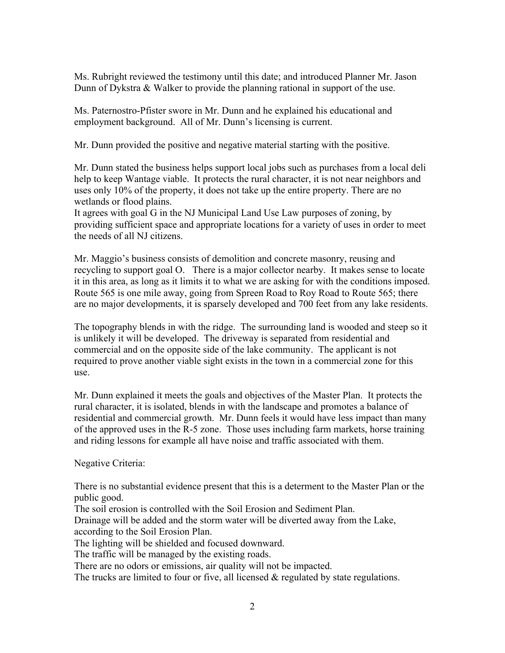Ms. Rubright reviewed the testimony until this date; and introduced Planner Mr. Jason Dunn of Dykstra & Walker to provide the planning rational in support of the use.

Ms. Paternostro-Pfister swore in Mr. Dunn and he explained his educational and employment background. All of Mr. Dunn's licensing is current.

Mr. Dunn provided the positive and negative material starting with the positive.

Mr. Dunn stated the business helps support local jobs such as purchases from a local deli help to keep Wantage viable. It protects the rural character, it is not near neighbors and uses only 10% of the property, it does not take up the entire property. There are no wetlands or flood plains.

It agrees with goal G in the NJ Municipal Land Use Law purposes of zoning, by providing sufficient space and appropriate locations for a variety of uses in order to meet the needs of all NJ citizens.

Mr. Maggio's business consists of demolition and concrete masonry, reusing and recycling to support goal O. There is a major collector nearby. It makes sense to locate it in this area, as long as it limits it to what we are asking for with the conditions imposed. Route 565 is one mile away, going from Spreen Road to Roy Road to Route 565; there are no major developments, it is sparsely developed and 700 feet from any lake residents.

The topography blends in with the ridge. The surrounding land is wooded and steep so it is unlikely it will be developed. The driveway is separated from residential and commercial and on the opposite side of the lake community. The applicant is not required to prove another viable sight exists in the town in a commercial zone for this use.

Mr. Dunn explained it meets the goals and objectives of the Master Plan. It protects the rural character, it is isolated, blends in with the landscape and promotes a balance of residential and commercial growth. Mr. Dunn feels it would have less impact than many of the approved uses in the R-5 zone. Those uses including farm markets, horse training and riding lessons for example all have noise and traffic associated with them.

Negative Criteria:

There is no substantial evidence present that this is a determent to the Master Plan or the public good.

The soil erosion is controlled with the Soil Erosion and Sediment Plan.

Drainage will be added and the storm water will be diverted away from the Lake, according to the Soil Erosion Plan.

The lighting will be shielded and focused downward.

The traffic will be managed by the existing roads.

There are no odors or emissions, air quality will not be impacted.

The trucks are limited to four or five, all licensed & regulated by state regulations.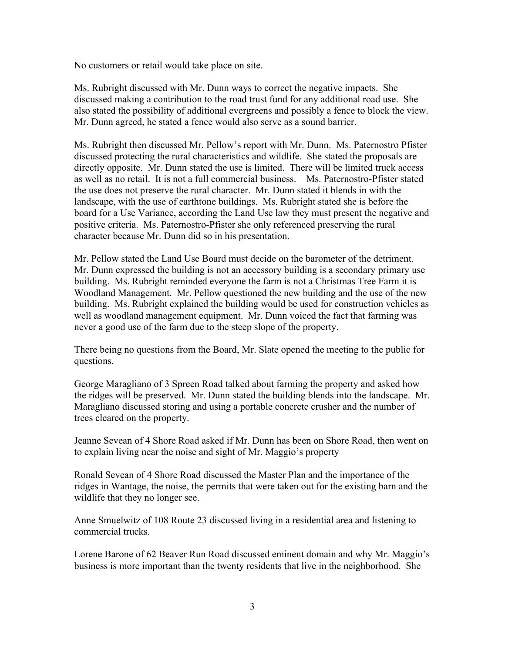No customers or retail would take place on site.

Ms. Rubright discussed with Mr. Dunn ways to correct the negative impacts. She discussed making a contribution to the road trust fund for any additional road use. She also stated the possibility of additional evergreens and possibly a fence to block the view. Mr. Dunn agreed, he stated a fence would also serve as a sound barrier.

Ms. Rubright then discussed Mr. Pellow's report with Mr. Dunn. Ms. Paternostro Pfister discussed protecting the rural characteristics and wildlife. She stated the proposals are directly opposite. Mr. Dunn stated the use is limited. There will be limited truck access as well as no retail. It is not a full commercial business. Ms. Paternostro-Pfister stated the use does not preserve the rural character. Mr. Dunn stated it blends in with the landscape, with the use of earthtone buildings. Ms. Rubright stated she is before the board for a Use Variance, according the Land Use law they must present the negative and positive criteria. Ms. Paternostro-Pfister she only referenced preserving the rural character because Mr. Dunn did so in his presentation.

Mr. Pellow stated the Land Use Board must decide on the barometer of the detriment. Mr. Dunn expressed the building is not an accessory building is a secondary primary use building. Ms. Rubright reminded everyone the farm is not a Christmas Tree Farm it is Woodland Management. Mr. Pellow questioned the new building and the use of the new building. Ms. Rubright explained the building would be used for construction vehicles as well as woodland management equipment. Mr. Dunn voiced the fact that farming was never a good use of the farm due to the steep slope of the property.

There being no questions from the Board, Mr. Slate opened the meeting to the public for questions.

George Maragliano of 3 Spreen Road talked about farming the property and asked how the ridges will be preserved. Mr. Dunn stated the building blends into the landscape. Mr. Maragliano discussed storing and using a portable concrete crusher and the number of trees cleared on the property.

Jeanne Sevean of 4 Shore Road asked if Mr. Dunn has been on Shore Road, then went on to explain living near the noise and sight of Mr. Maggio's property

Ronald Sevean of 4 Shore Road discussed the Master Plan and the importance of the ridges in Wantage, the noise, the permits that were taken out for the existing barn and the wildlife that they no longer see.

Anne Smuelwitz of 108 Route 23 discussed living in a residential area and listening to commercial trucks.

Lorene Barone of 62 Beaver Run Road discussed eminent domain and why Mr. Maggio's business is more important than the twenty residents that live in the neighborhood. She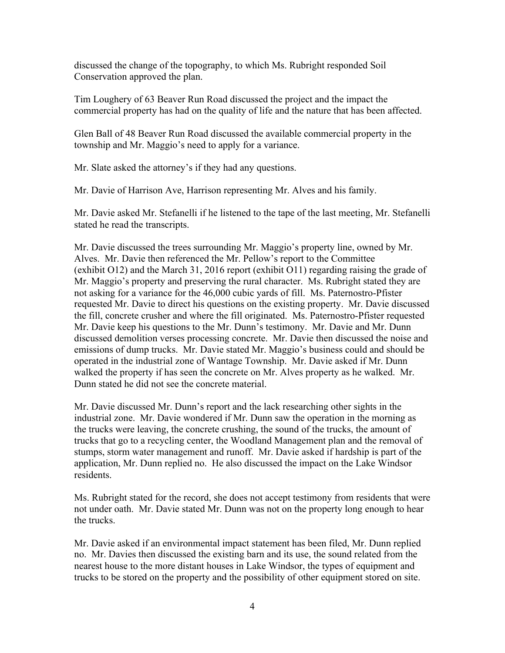discussed the change of the topography, to which Ms. Rubright responded Soil Conservation approved the plan.

Tim Loughery of 63 Beaver Run Road discussed the project and the impact the commercial property has had on the quality of life and the nature that has been affected.

Glen Ball of 48 Beaver Run Road discussed the available commercial property in the township and Mr. Maggio's need to apply for a variance.

Mr. Slate asked the attorney's if they had any questions.

Mr. Davie of Harrison Ave, Harrison representing Mr. Alves and his family.

Mr. Davie asked Mr. Stefanelli if he listened to the tape of the last meeting, Mr. Stefanelli stated he read the transcripts.

Mr. Davie discussed the trees surrounding Mr. Maggio's property line, owned by Mr. Alves. Mr. Davie then referenced the Mr. Pellow's report to the Committee (exhibit O12) and the March 31, 2016 report (exhibit O11) regarding raising the grade of Mr. Maggio's property and preserving the rural character. Ms. Rubright stated they are not asking for a variance for the 46,000 cubic yards of fill. Ms. Paternostro-Pfister requested Mr. Davie to direct his questions on the existing property. Mr. Davie discussed the fill, concrete crusher and where the fill originated. Ms. Paternostro-Pfister requested Mr. Davie keep his questions to the Mr. Dunn's testimony. Mr. Davie and Mr. Dunn discussed demolition verses processing concrete. Mr. Davie then discussed the noise and emissions of dump trucks. Mr. Davie stated Mr. Maggio's business could and should be operated in the industrial zone of Wantage Township. Mr. Davie asked if Mr. Dunn walked the property if has seen the concrete on Mr. Alves property as he walked. Mr. Dunn stated he did not see the concrete material.

Mr. Davie discussed Mr. Dunn's report and the lack researching other sights in the industrial zone. Mr. Davie wondered if Mr. Dunn saw the operation in the morning as the trucks were leaving, the concrete crushing, the sound of the trucks, the amount of trucks that go to a recycling center, the Woodland Management plan and the removal of stumps, storm water management and runoff. Mr. Davie asked if hardship is part of the application, Mr. Dunn replied no. He also discussed the impact on the Lake Windsor residents.

Ms. Rubright stated for the record, she does not accept testimony from residents that were not under oath. Mr. Davie stated Mr. Dunn was not on the property long enough to hear the trucks.

Mr. Davie asked if an environmental impact statement has been filed, Mr. Dunn replied no. Mr. Davies then discussed the existing barn and its use, the sound related from the nearest house to the more distant houses in Lake Windsor, the types of equipment and trucks to be stored on the property and the possibility of other equipment stored on site.